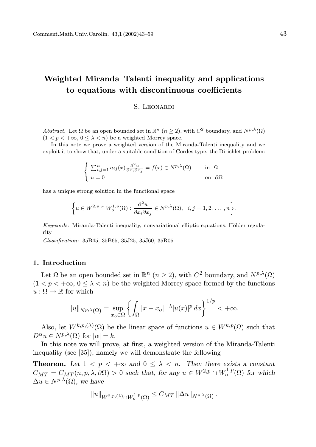# Weighted Miranda–Talenti inequality and applications to equations with discontinuous coefficients

#### S. Leonardi

Abstract. Let  $\Omega$  be an open bounded set in  $\mathbb{R}^n$   $(n \geq 2)$ , with  $C^2$  boundary, and  $N^{p,\lambda}(\Omega)$  $(1 < p < +\infty, 0 \leq \lambda < n)$  be a weighted Morrey space.

In this note we prove a weighted version of the Miranda-Talenti inequality and we exploit it to show that, under a suitable condition of Cordes type, the Dirichlet problem:

$$
\begin{cases} \sum_{i,j=1}^{n} a_{ij}(x) \frac{\partial^2 u}{\partial x_i \partial x_j} = f(x) \in N^{p,\lambda}(\Omega) & \text{in } \Omega\\ u = 0 & \text{on } \partial\Omega \end{cases}
$$

has a unique strong solution in the functional space

$$
\left\{u \in W^{2,p} \cap W^{1,p}_o(\Omega): \frac{\partial^2 u}{\partial x_i \partial x_j} \in N^{p,\lambda}(\Omega), \quad i,j=1,2,\ldots,n\right\}.
$$

Keywords: Miranda-Talenti inequality, nonvariational elliptic equations, Hölder regularity

Classification: 35B45, 35B65, 35J25, 35J60, 35R05

# 1. Introduction

Let  $\Omega$  be an open bounded set in  $\mathbb{R}^n$   $(n \geq 2)$ , with  $C^2$  boundary, and  $N^{p,\lambda}(\Omega)$  $(1 < p < +\infty, 0 < \lambda < n)$  be the weighted Morrey space formed by the functions  $u : \Omega \to \mathbb{R}$  for which

$$
||u||_{N^{p,\lambda}(\Omega)} = \sup_{x_o \in \Omega} \left\{ \int_{\Omega} |x - x_o|^{-\lambda} |u(x)|^p dx \right\}^{1/p} < +\infty.
$$

Also, let  $W^{k,p,(\lambda)}(\Omega)$  be the linear space of functions  $u \in W^{k,p}(\Omega)$  such that  $D^{\alpha}u \in N^{p,\lambda}(\Omega)$  for  $|\alpha| = k$ .

In this note we will prove, at first, a weighted version of the Miranda-Talenti inequality (see [35]), namely we will demonstrate the following

**Theorem.** Let  $1 < p < +\infty$  and  $0 \leq \lambda < n$ . Then there exists a constant  $C_{MT} = C_{MT}(n, p, \lambda, \partial \Omega) > 0$  such that, for any  $u \in W^{2,p} \cap W^{1,p}_o(\Omega)$  for which  $\Delta u \in N^{p,\lambda}(\Omega)$ , we have

$$
||u||_{W^{2,p,(\lambda)}\cap W_o^{1,p}(\Omega)} \leq C_{MT} ||\Delta u||_{N^{p,\lambda}(\Omega)}.
$$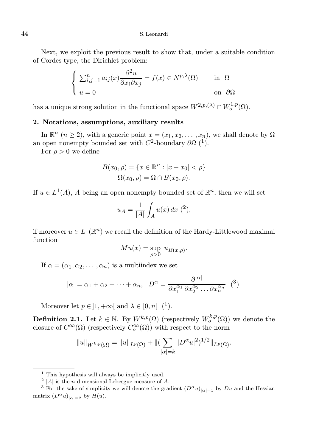Next, we exploit the previous result to show that, under a suitable condition of Cordes type, the Dirichlet problem:

$$
\begin{cases} \sum_{i,j=1}^{n} a_{ij}(x) \frac{\partial^2 u}{\partial x_i \partial x_j} = f(x) \in N^{p,\lambda}(\Omega) & \text{in } \Omega\\ u = 0 & \text{on } \partial\Omega \end{cases}
$$

has a unique strong solution in the functional space  $W^{2,p,(\lambda)} \cap W^{1,p}_o(\Omega)$ .

#### 2. Notations, assumptions, auxiliary results

In  $\mathbb{R}^n$   $(n \geq 2)$ , with a generic point  $x = (x_1, x_2, \ldots, x_n)$ , we shall denote by  $\Omega$ an open nonempty bounded set with  $C^2$ -boundary  $\partial\Omega$  (<sup>1</sup>).

For  $\rho > 0$  we define

$$
B(x_0, \rho) = \{x \in \mathbb{R}^n : |x - x_0| < \rho\}
$$
\n
$$
\Omega(x_0, \rho) = \Omega \cap B(x_0, \rho).
$$

If  $u \in L^1(A)$ , A being an open nonempty bounded set of  $\mathbb{R}^n$ , then we will set

$$
u_A = \frac{1}{|A|} \int_A u(x) \, dx \, (^2),
$$

if moreover  $u \in L^1(\mathbb{R}^n)$  we recall the definition of the Hardy-Littlewood maximal function

$$
M u(x) = \sup_{\rho > 0} u_{B(x,\rho)}.
$$

If  $\alpha = (\alpha_1, \alpha_2, \dots, \alpha_n)$  is a multiindex we set

$$
|\alpha| = \alpha_1 + \alpha_2 + \dots + \alpha_n, \quad D^{\alpha} = \frac{\partial^{|\alpha|}}{\partial x_1^{\alpha_1} \partial x_2^{\alpha_2} \dots \partial x_n^{\alpha_n}} \quad (3).
$$

Moreover let  $p \in ]1, +\infty[$  and  $\lambda \in [0, n[$  (<sup>1</sup>).

**Definition 2.1.** Let  $k \in \mathbb{N}$ . By  $W^{k,p}(\Omega)$  (respectively  $W^{k,p}_o(\Omega)$ ) we denote the closure of  $C^{\infty}(\Omega)$  (respectively  $C^{\infty}_o(\Omega)$ ) with respect to the norm

$$
||u||_{W^{k,p}(\Omega)} = ||u||_{L^p(\Omega)} + ||(\sum_{|\alpha|=k} |D^{\alpha}u|^2)^{1/2}||_{L^p(\Omega)}.
$$

 $<sup>1</sup>$  This hypothesis will always be implicitly used.</sup>

<sup>&</sup>lt;sup>2</sup> |A| is the *n*-dimensional Lebesgue measure of A.

<sup>&</sup>lt;sup>3</sup> For the sake of simplicity we will denote the gradient  $(D^{\alpha}u)_{|\alpha|=1}$  by Du and the Hessian matrix  $(D^{\alpha}u)_{|\alpha|=2}$  by  $H(u)$ .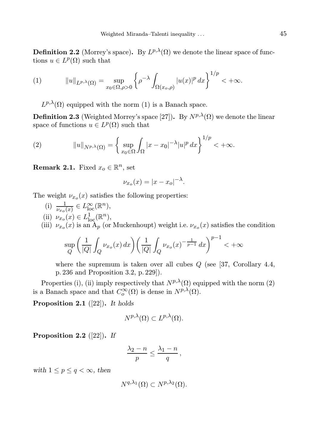**Definition 2.2** (Morrey's space). By  $L^{p,\lambda}(\Omega)$  we denote the linear space of functions  $u \in L^p(\Omega)$  such that

(1) 
$$
||u||_{L^{p,\lambda}(\Omega)} = \sup_{x_0 \in \Omega, \rho > 0} \left\{ \rho^{-\lambda} \int_{\Omega(x_0,\rho)} |u(x)|^p dx \right\}^{1/p} < +\infty.
$$

 $L^{p,\lambda}(\Omega)$  equipped with the norm (1) is a Banach space.

**Definition 2.3** (Weighted Morrey's space [27]). By  $N^{p,\lambda}(\Omega)$  we denote the linear space of functions  $u \in L^p(\Omega)$  such that

(2) 
$$
||u||_{N^{p,\lambda}(\Omega)} = \left\{\sup_{x_0 \in \Omega} \int_{\Omega} |x - x_0|^{-\lambda} |u|^p dx \right\}^{1/p} < +\infty.
$$

**Remark 2.1.** Fixed  $x_o \in \mathbb{R}^n$ , set

$$
\nu_{x_o}(x) = |x - x_o|^{-\lambda}.
$$

The weight  $\nu_{x_o}(x)$  satisfies the following properties:

- (i)  $\frac{1}{\nu_{x_0}(x)} \in L^{\infty}_{loc}(\mathbb{R}^n)$ ,
- (ii)  $\nu_{x_o}(x) \in L^1_{loc}(\mathbb{R}^n)$ ,
- (iii)  $\nu_{x_o}(x)$  is an A<sub>p</sub> (or Muckenhoupt) weight i.e.  $\nu_{x_o}(x)$  satisfies the condition

$$
\sup_{Q} \left( \frac{1}{|Q|} \int_{Q} \nu_{x_o}(x) \, dx \right) \left( \frac{1}{|Q|} \int_{Q} \nu_{x_o}(x)^{-\frac{1}{p-1}} \, dx \right)^{p-1} < +\infty
$$

where the supremum is taken over all cubes  $Q$  (see [37, Corollary 4.4, p. 236 and Proposition 3.2, p. 229]).

Properties (i), (ii) imply respectively that  $N^{p,\lambda}(\Omega)$  equipped with the norm (2) is a Banach space and that  $C_o^{\infty}(\Omega)$  is dense in  $N^{p,\lambda}(\Omega)$ .

**Proposition 2.1** ([22]). It holds

$$
N^{p,\lambda}(\Omega) \subset L^{p,\lambda}(\Omega).
$$

**Proposition 2.2** ([22]). If

$$
\frac{\lambda_2 - n}{p} \le \frac{\lambda_1 - n}{q} \,,
$$

with  $1 \leq p \leq q < \infty$ , then

$$
N^{q,\lambda_1}(\Omega) \subset N^{p,\lambda_2}(\Omega).
$$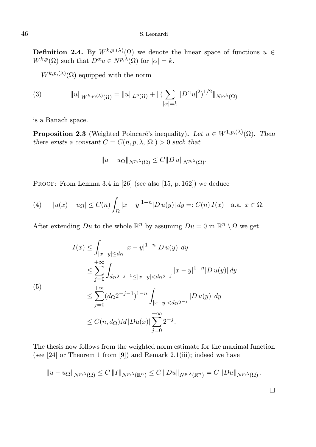**Definition 2.4.** By  $W^{k,p,(\lambda)}(\Omega)$  we denote the linear space of functions  $u \in$  $W^{k,p}(\Omega)$  such that  $D^{\alpha}u \in N^{p,\lambda}(\Omega)$  for  $|\alpha|=k$ .

 $W^{k,p,(\lambda)}(\Omega)$  equipped with the norm

(3) 
$$
||u||_{W^{k,p,(\lambda)}(\Omega)} = ||u||_{L^p(\Omega)} + ||(\sum_{|\alpha|=k} |D^{\alpha}u|^2)^{1/2}||_{N^{p,\lambda}(\Omega)}
$$

is a Banach space.

**Proposition 2.3** (Weighted Poincaré's inequality). Let  $u \in W^{1,p,(\lambda)}(\Omega)$ . Then there exists a constant  $C = C(n, p, \lambda, |\Omega|) > 0$  such that

$$
||u - u_{\Omega}||_{N^{p,\lambda}(\Omega)} \leq C||Du||_{N^{p,\lambda}(\Omega)}.
$$

PROOF: From Lemma 3.4 in [26] (see also [15, p. 162]) we deduce

(4) 
$$
|u(x) - u_{\Omega}| \le C(n) \int_{\Omega} |x - y|^{1 - n} |D u(y)| dy =: C(n) I(x)
$$
 a.a.  $x \in \Omega$ .

After extending  $Du$  to the whole  $\mathbb{R}^n$  by assuming  $Du = 0$  in  $\mathbb{R}^n \setminus \Omega$  we get

$$
I(x) \leq \int_{|x-y| \leq d_{\Omega}} |x-y|^{1-n} |D u(y)| dy
$$
  
\n
$$
\leq \sum_{j=0}^{+\infty} \int_{d_{\Omega}2^{-j-1} \leq |x-y| < d_{\Omega}2^{-j}} |x-y|^{1-n} |D u(y)| dy
$$
  
\n(5)  
\n
$$
\leq \sum_{j=0}^{+\infty} (d_{\Omega}2^{-j-1})^{1-n} \int_{|x-y| < d_{\Omega}2^{-j}} |D u(y)| dy
$$
  
\n
$$
\leq C(n, d_{\Omega}) M |D u(x)| \sum_{j=0}^{+\infty} 2^{-j}.
$$

The thesis now follows from the weighted norm estimate for the maximal function (see [24] or Theorem 1 from [9]) and Remark 2.1(iii); indeed we have

$$
||u - u_{\Omega}||_{N^{p,\lambda}(\Omega)} \leq C ||I||_{N^{p,\lambda}(\mathbb{R}^n)} \leq C ||Du||_{N^{p,\lambda}(\mathbb{R}^n)} = C ||Du||_{N^{p,\lambda}(\Omega)}.
$$

 $\Box$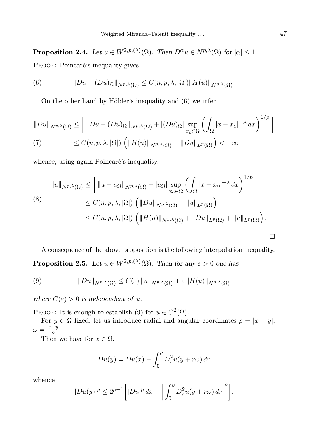**Proposition 2.4.** Let  $u \in W^{2,p,(\lambda)}(\Omega)$ . Then  $D^{\alpha}u \in N^{p,\lambda}(\Omega)$  for  $|\alpha| \leq 1$ .

PROOF: Poincaré's inequality gives

(6) 
$$
||Du - (Du)_{\Omega}||_{N^{p,\lambda}(\Omega)} \leq C(n,p,\lambda,|\Omega|) ||H(u)||_{N^{p,\lambda}(\Omega)}.
$$

On the other hand by Hölder's inequality and  $(6)$  we infer

$$
||Du||_{N^{p,\lambda}(\Omega)} \leq \left[ ||Du - (Du)_{\Omega}||_{N^{p,\lambda}(\Omega)} + |(Du)_{\Omega}|\sup_{x_o \in \Omega} \left(\int_{\Omega} |x - x_o|^{-\lambda} dx\right)^{1/p}\right]
$$
  
(7) 
$$
\leq C(n, p, \lambda, |\Omega|) \left( ||H(u)||_{N^{p,\lambda}(\Omega)} + ||Du||_{L^p(\Omega)}\right) < +\infty
$$

whence, using again Poincaré's inequality,

$$
||u||_{N^{p,\lambda}(\Omega)} \leq \left[ ||u - u_{\Omega}||_{N^{p,\lambda}(\Omega)} + |u_{\Omega}| \sup_{x_o \in \Omega} \left( \int_{\Omega} |x - x_o|^{-\lambda} dx \right)^{1/p} \right]
$$
  
\n
$$
\leq C(n, p, \lambda, |\Omega|) \left( ||Du||_{N^{p,\lambda}(\Omega)} + ||u||_{L^p(\Omega)} \right)
$$
  
\n
$$
\leq C(n, p, \lambda, |\Omega|) \left( ||H(u)||_{N^{p,\lambda}(\Omega)} + ||Du||_{L^p(\Omega)} + ||u||_{L^p(\Omega)} \right).
$$

A consequence of the above proposition is the following interpolation inequality. **Proposition 2.5.** Let  $u \in W^{2,p,(\lambda)}(\Omega)$ . Then for any  $\varepsilon > 0$  one has

(9) 
$$
||Du||_{N^{p,\lambda}(\Omega)} \leq C(\varepsilon) ||u||_{N^{p,\lambda}(\Omega)} + \varepsilon ||H(u)||_{N^{p,\lambda}(\Omega)}
$$

where  $C(\varepsilon) > 0$  is independent of u.

PROOF: It is enough to establish (9) for  $u \in C^2(\Omega)$ .

For  $y \in \Omega$  fixed, let us introduce radial and angular coordinates  $\rho = |x - y|$ ,  $\omega = \frac{x-y}{a}$  $\frac{-y}{\rho}$ .

Then we have for  $x \in \Omega$ ,

$$
Du(y) = Du(x) - \int_0^{\rho} D_r^2 u(y + r\omega) dr
$$

whence

$$
|Du(y)|^p \le 2^{p-1} \bigg[ |Du|^p dx + \bigg| \int_0^p D_r^2 u(y + r\omega) dr \bigg|^p \bigg].
$$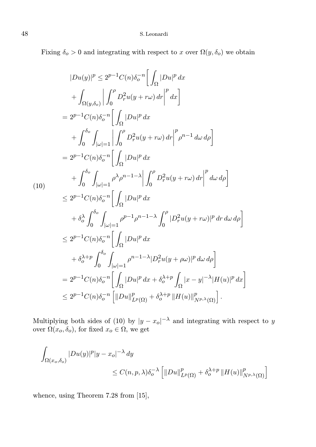Fixing  $\delta_o > 0$  and integrating with respect to x over  $\Omega(y, \delta_o)$  we obtain

$$
|Du(y)|^{p} \leq 2^{p-1}C(n)\delta_{o}^{-n} \Big[ \int_{\Omega} |Du|^{p} dx + \int_{\Omega(y,\delta_{o})} \Big| \int_{0}^{\rho} D_{r}^{2}u(y+r\omega) dr \Big|^{p} dx \Big] = 2^{p-1}C(n)\delta_{o}^{-n} \Big[ \int_{\Omega} |Du|^{p} dx + \int_{0}^{\delta_{o}} \int_{|\omega|=1} \Big| \int_{0}^{\rho} D_{r}^{2}u(y+r\omega) dr \Big|^{p} \rho^{n-1} d\omega d\rho \Big] = 2^{p-1}C(n)\delta_{o}^{-n} \Big[ \int_{\Omega} |Du|^{p} dx + \int_{0}^{\delta_{o}} \int_{|\omega|=1} \rho^{\lambda} \rho^{n-1-\lambda} \Big| \int_{0}^{\rho} D_{r}^{2}u(y+r\omega) dr \Big|^{p} d\omega d\rho \Big] \leq 2^{p-1}C(n)\delta_{o}^{-n} \Big[ \int_{\Omega} |Du|^{p} dx + \delta_{o}^{\lambda} \int_{0}^{\delta_{o}} \int_{|\omega|=1} \rho^{p-1} \rho^{n-1-\lambda} \int_{0}^{\rho} |D_{r}^{2}u(y+r\omega)|^{p} dr d\omega d\rho \Big] \leq 2^{p-1}C(n)\delta_{o}^{-n} \Big[ \int_{\Omega} |Du|^{p} dx + \delta_{o}^{\lambda+p} \int_{0}^{\delta_{o}} \int_{|\omega|=1} \rho^{n-1-\lambda} |D_{r}^{2}u(y+\rho\omega)|^{p} d\omega d\rho \Big] = 2^{p-1}C(n)\delta_{o}^{-n} \Big[ \int_{\Omega} |Du|^{p} dx + \delta_{o}^{\lambda+p} \int_{\Omega} |x-y|^{-\lambda} |H(u)|^{p} dx \Big] \leq 2^{p-1}C(n)\delta_{o}^{-n} \Big[ \int_{\Omega} |Du|^{p} dx + \delta_{o}^{\lambda+p} \int_{\Omega} |x-y|^{-\lambda} |H(u)|^{p} dx \Big] \leq 2^{p-1}C(n)\delta_{o}^{-n} \Big[ ||Du||^{p}_{L^{p}(\Omega)} + \delta_{o}^{\lambda+p} ||H(u)||^{p}_{N^{p,\lambda}(\Omega)} \Big].
$$

Multiplying both sides of (10) by  $|y - x_0|^{-\lambda}$  and integrating with respect to y over  $\Omega(x_o, \delta_o)$ , for fixed  $x_o \in \Omega$ , we get

$$
\int_{\Omega(x_o,\delta_o)} |Du(y)|^p |y - x_o|^{-\lambda} dy
$$
\n
$$
\leq C(n,p,\lambda)\delta_o^{-\lambda} \left[ \|Du\|_{L^p(\Omega)}^p + \delta_o^{\lambda+p} \|H(u)\|_{N^{p,\lambda}(\Omega)}^p \right]
$$

whence, using Theorem 7.28 from [15],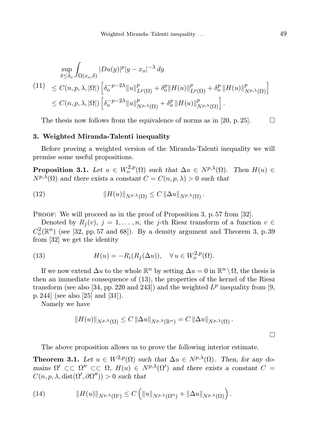$$
\sup_{\delta \leq \delta_o} \int_{\Omega(x_o,\delta)} |Du(y)|^p |y - x_o|^{-\lambda} dy
$$
\n(11) 
$$
\leq C(n, p, \lambda, |\Omega|) \left[ \delta_o^{-p-2\lambda} ||u||_{L^p(\Omega)}^p + \delta_o^p ||H(u)||_{L^p(\Omega)}^p + \delta_o^p ||H(u)||_{N^{p,\lambda}(\Omega)}^p \right]
$$
\n
$$
\leq C(n, p, \lambda, |\Omega|) \left[ \delta_o^{-p-2\lambda} ||u||_{N^{p,\lambda}(\Omega)}^p + \delta_o^p ||H(u)||_{N^{p,\lambda}(\Omega)}^p \right].
$$

The thesis now follows from the equivalence of norms as in [20, p. 25].  $\Box$ 

#### 3. Weighted Miranda-Talenti inequality

Before proving a weighted version of the Miranda-Talenti inequality we will premise some useful propositions.

**Proposition 3.1.** Let  $u \in W_o^{2,p}(\Omega)$  such that  $\Delta u \in N^{p,\lambda}(\Omega)$ . Then  $H(u) \in$  $N^{p,\lambda}(\Omega)$  and there exists a constant  $C = C(n, p, \lambda) > 0$  such that

(12) 
$$
||H(u)||_{N^{p,\lambda}(\Omega)} \leq C ||\Delta u||_{N^{p,\lambda}(\Omega)}.
$$

PROOF: We will proceed as in the proof of Proposition 3, p. 57 from [32].

Denoted by  $R_i(v)$ ,  $j = 1, \ldots, n$ , the j-th Riesz transform of a function  $v \in$  $C_o^2(\mathbb{R}^n)$  (see [32, pp. 57 and 68]). By a density argument and Theorem 3, p. 39 from [32] we get the identity

(13) 
$$
H(u) = -R_i(R_j(\Delta u)), \quad \forall u \in W_o^{2,p}(\Omega).
$$

If we now extend  $\Delta u$  to the whole  $\mathbb{R}^n$  by setting  $\Delta u = 0$  in  $\mathbb{R}^n \setminus \Omega$ , the thesis is then an immediate consequence of (13), the properties of the kernel of the Riesz transform (see also [34, pp. 220 and 243]) and the weighted  $L^p$  inequality from [9, p. 244] (see also [25] and [31]).

Namely we have

$$
||H(u)||_{N^{p,\lambda}(\Omega)} \leq C ||\Delta u||_{N^{p,\lambda}(\mathbb{R}^n)} = C ||\Delta u||_{N^{p,\lambda}(\Omega)}.
$$

The above proposition allows us to prove the following interior estimate.

**Theorem 3.1.** Let  $u \in W^{2,p}(\Omega)$  such that  $\Delta u \in N^{p,\lambda}(\Omega)$ . Then, for any domains  $\Omega' \subset\subset \Omega'' \subset\subset \Omega$ ,  $H(u) \in N^{p,\lambda}(\Omega')$  and there exists a constant  $C =$  $C(n, p, \lambda, \text{dist}(\Omega', \partial \Omega'')) > 0$  such that

(14) 
$$
||H(u)||_{N^{p,\lambda}(\Omega')} \leq C \left( ||u||_{N^{p,\lambda}(\Omega'')} + ||\Delta u||_{N^{p,\lambda}(\Omega)} \right).
$$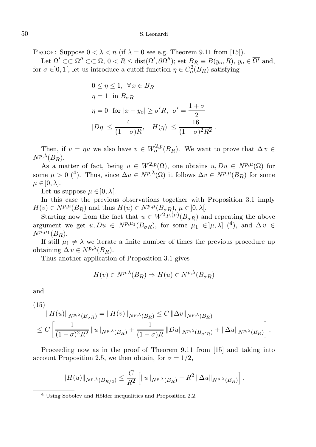PROOF: Suppose  $0 < \lambda < n$  (if  $\lambda = 0$  see e.g. Theorem 9.11 from [15]).

Let  $\Omega' \subset\subset \Omega'' \subset\subset \Omega$ ,  $0 < R \leq \text{dist}(\Omega', \partial \Omega'')$ ; set  $B_R \equiv B(y_o, R)$ ,  $y_o \in \overline{\Omega'}$  and, for  $\sigma \in ]0,1[$ , let us introduce a cutoff function  $\eta \in C_o^2(B_R)$  satisfying

$$
0 \leq \eta \leq 1, \ \forall x \in B_R
$$
  
\n
$$
\eta = 1 \text{ in } B_{\sigma R}
$$
  
\n
$$
\eta = 0 \text{ for } |x - y_o| \geq \sigma' R, \ \sigma' = \frac{1 + \sigma}{2}
$$
  
\n
$$
|D\eta| \leq \frac{4}{(1 - \sigma)R}, \ |H(\eta)| \leq \frac{16}{(1 - \sigma)^2 R^2}.
$$

Then, if  $v = \eta u$  we also have  $v \in W_0^{2,p}(B_R)$ . We want to prove that  $\Delta v \in$  $N^{p,\lambda}(B_R)$ .

As a matter of fact, being  $u \in W^{2,p}(\Omega)$ , one obtains  $u, Du \in N^{p,\mu}(\Omega)$  for some  $\mu > 0$  (<sup>4</sup>). Thus, since  $\Delta u \in N^{p,\lambda}(\Omega)$  it follows  $\Delta v \in N^{p,\mu}(B_R)$  for some  $\mu \in ]0, \lambda].$ 

Let us suppose  $\mu \in ]0, \lambda[$ .

In this case the previous observations together with Proposition 3.1 imply  $H(v) \in N^{p,\mu}(B_R)$  and thus  $H(u) \in N^{p,\mu}(B_{\sigma R}), \mu \in ]0,\lambda[$ .

Starting now from the fact that  $u \in W^{2,p,(\mu)}(B_{\sigma R})$  and repeating the above argument we get  $u, Du \in N^{p,\mu_1}(B_{\sigma R})$ , for some  $\mu_1 \in [\mu, \lambda]$  (<sup>4</sup>), and  $\Delta v \in$  $N^{p,\mu_1}(B_R)$ .

If still  $\mu_1 \neq \lambda$  we iterate a finite number of times the previous procedure up obtaining  $\Delta v \in N^{p,\lambda}(B_R)$ .

Thus another application of Proposition 3.1 gives

$$
H(v) \in N^{p,\lambda}(B_R) \Rightarrow H(u) \in N^{p,\lambda}(B_{\sigma R})
$$

and

(15)  
\n
$$
||H(u)||_{N^{p,\lambda}(B_{\sigma R})} = ||H(v)||_{N^{p,\lambda}(B_R)} \leq C ||\Delta v||_{N^{p,\lambda}(B_R)}
$$
\n
$$
\leq C \left[ \frac{1}{(1-\sigma)^2 R^2} ||u||_{N^{p,\lambda}(B_R)} + \frac{1}{(1-\sigma)R} ||Du||_{N^{p,\lambda}(B_{\sigma'R})} + ||\Delta u||_{N^{p,\lambda}(B_R)} \right].
$$

Proceeding now as in the proof of Theorem 9.11 from [15] and taking into account Proposition 2.5, we then obtain, for  $\sigma = 1/2$ ,

$$
||H(u)||_{N^{p,\lambda}(B_{R/2})} \leq \frac{C}{R^2} \left[ ||u||_{N^{p,\lambda}(B_R)} + R^2 ||\Delta u||_{N^{p,\lambda}(B_R)} \right].
$$

 $4$  Using Sobolev and Hölder inequalities and Proposition 2.2.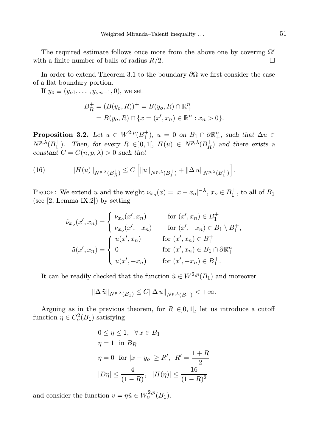The required estimate follows once more from the above one by covering  $\Omega'$ with a finite number of balls of radius  $R/2$ .

In order to extend Theorem 3.1 to the boundary  $\partial\Omega$  we first consider the case of a flat boundary portion.

If  $y_o \equiv (y_{o1}, \ldots, y_{on-1}, 0)$ , we set

$$
B_R^+ = (B(y_0, R))^+ = B(y_0, R) \cap \mathbb{R}^n_+
$$
  
=  $B(y_0, R) \cap \{x = (x', x_n) \in \mathbb{R}^n : x_n > 0\}.$ 

**Proposition 3.2.** Let  $u \in W^{2,p}(B_1^+), u = 0$  on  $B_1 \cap \partial \mathbb{R}^n_+$ , such that  $\Delta u \in$  $N^{p,\lambda}(B_1^+)$ . Then, for every  $R \in ]0,1[$ ,  $H(u) \in N^{p,\lambda}(B_R^+)$  and there exists a constant  $C = C(n, p, \lambda) > 0$  such that

(16) 
$$
||H(u)||_{N^{p,\lambda}(B_R^+)} \leq C \left[ ||u||_{N^{p,\lambda}(B_1^+)} + ||\Delta u||_{N^{p,\lambda}(B_1^+)} \right].
$$

PROOF: We extend u and the weight  $\nu_{x_0}(x) = |x - x_0|^{-\lambda}, x_0 \in B_1^+$ , to all of  $B_1$ (see [2, Lemma IX.2]) by setting

$$
\tilde{\nu}_{x_o}(x',x_n) = \begin{cases}\n\nu_{x_o}(x',x_n) & \text{for } (x',x_n) \in B_1^+ \\
\nu_{x_o}(x',-x_n) & \text{for } (x',-x_n) \in B_1 \setminus B_1^+, \\
u(x',x_n) = \begin{cases}\nu(x',x_n) & \text{for } (x',x_n) \in B_1^+ \\
0 & \text{for } (x',x_n) \in B_1 \cap \partial \mathbb{R}_+^n \\
u(x',-x_n) & \text{for } (x',-x_n) \in B_1^+.\n\end{cases}\n\end{cases}
$$

It can be readily checked that the function  $\tilde{u} \in W^{2,p}(B_1)$  and moreover

$$
\|\Delta\tilde{u}\|_{N^{p,\lambda}(B_1)} \leq C\|\Delta u\|_{N^{p,\lambda}(B_1^+)} < +\infty.
$$

Arguing as in the previous theorem, for  $R \in ]0,1[$ , let us introduce a cutoff function  $\eta \in C_o^2(B_1)$  satisfying

$$
0 \le \eta \le 1, \quad \forall x \in B_1
$$
  
\n
$$
\eta = 1 \text{ in } B_R
$$
  
\n
$$
\eta = 0 \text{ for } |x - y_o| \ge R', \quad R' = \frac{1+R}{2}
$$
  
\n
$$
|D\eta| \le \frac{4}{(1-R)}, \quad |H(\eta)| \le \frac{16}{(1-R)^2}
$$

and consider the function  $v = \eta \tilde{u} \in W_0^{2,p}(B_1)$ .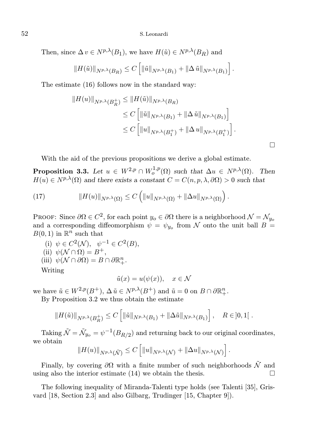Then, since  $\Delta v \in N^{p,\lambda}(B_1)$ , we have  $H(\tilde{u}) \in N^{p,\lambda}(B_R)$  and

$$
||H(\tilde{u})||_{N^{p,\lambda}(B_R)} \leq C \left[ ||\tilde{u}||_{N^{p,\lambda}(B_1)} + ||\Delta \tilde{u}||_{N^{p,\lambda}(B_1)} \right].
$$

The estimate (16) follows now in the standard way:

$$
||H(u)||_{N^{p,\lambda}(B_R^+)} \le ||H(\tilde{u})||_{N^{p,\lambda}(B_R)}
$$
  
\n
$$
\le C \left[ ||\tilde{u}||_{N^{p,\lambda}(B_1)} + ||\Delta \tilde{u}||_{N^{p,\lambda}(B_1)} \right]
$$
  
\n
$$
\le C \left[ ||u||_{N^{p,\lambda}(B_1^+)} + ||\Delta u||_{N^{p,\lambda}(B_1^+)} \right].
$$

 $\Box$ 

With the aid of the previous propositions we derive a global estimate.

**Proposition 3.3.** Let  $u \in W^{2,p} \cap W^{1,p}_o(\Omega)$  such that  $\Delta u \in N^{p,\lambda}(\Omega)$ . Then  $H(u) \in N^{p,\lambda}(\Omega)$  and there exists a constant  $C = C(n, p, \lambda, \partial \Omega) > 0$  such that

(17) 
$$
||H(u)||_{N^{p,\lambda}(\Omega)} \leq C \left( ||u||_{N^{p,\lambda}(\Omega)} + ||\Delta u||_{N^{p,\lambda}(\Omega)} \right).
$$

PROOF: Since  $\partial\Omega \in C^2$ , for each point  $y_o \in \partial\Omega$  there is a neighborhood  $\mathcal{N} = \mathcal{N}_{y_o}$ and a corresponding diffeomorphism  $\psi = \psi_{y_o}$  from N onto the unit ball  $B =$  $B(0,1)$  in  $\mathbb{R}^n$  such that

- (i)  $\psi \in C^2(\mathcal{N}), \psi^{-1} \in C^2(B),$ (ii)  $\psi(\mathcal{N} \cap \Omega) = B^+,$
- (iii)  $\psi(\mathcal{N} \cap \partial \Omega) = B \cap \partial \mathbb{R}^n_+.$

Writing

$$
\tilde{u}(x) = u(\psi(x)), \quad x \in \mathcal{N}
$$

we have  $\tilde{u} \in W^{2,p}(B^+), \Delta \tilde{u} \in N^{p,\lambda}(B^+)$  and  $\tilde{u} = 0$  on  $B \cap \partial \mathbb{R}^n_+$ .

By Proposition 3.2 we thus obtain the estimate

$$
||H(\tilde{u})||_{N^{p,\lambda}(B_R^+)} \leq C \left[ ||\tilde{u}||_{N^{p,\lambda}(B_1)} + ||\Delta \tilde{u}||_{N^{p,\lambda}(B_1)} \right], \quad R \in ]0,1[.
$$

Taking  $\tilde{\mathcal{N}} = \tilde{\mathcal{N}}_{y_o} = \psi^{-1}(B_{R/2})$  and returning back to our original coordinates, we obtain

$$
||H(u)||_{N^{p,\lambda}(\tilde{\mathcal{N}})} \leq C \left[ ||u||_{N^{p,\lambda}(\mathcal{N})} + ||\Delta u||_{N^{p,\lambda}(\mathcal{N})} \right].
$$

Finally, by covering  $\partial\Omega$  with a finite number of such neighborhoods  $\tilde{\mathcal{N}}$  and ing also the interior estimate (14) we obtain the thesis. using also the interior estimate (14) we obtain the thesis.

The following inequality of Miranda-Talenti type holds (see Talenti [35], Grisvard [18, Section 2.3] and also Gilbarg, Trudinger [15, Chapter 9]).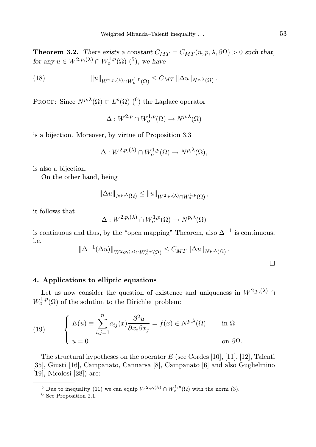**Theorem 3.2.** There exists a constant  $C_{MT} = C_{MT}(n, p, \lambda, \partial\Omega) > 0$  such that, for any  $u \in W^{2,p,(\lambda)} \cap W^{1,p}_o(\Omega)$  (<sup>5</sup>), we have

(18) 
$$
||u||_{W^{2,p,(\lambda)} \cap W_o^{1,p}(\Omega)} \leq C_{MT} ||\Delta u||_{N^{p,\lambda}(\Omega)}.
$$

PROOF: Since  $N^{p,\lambda}(\Omega) \subset L^p(\Omega)$  (<sup>6</sup>) the Laplace operator

 $\Delta: W^{2,p}\cap W^{1,p}_o(\Omega)\to N^{p,\lambda}(\Omega)$ 

is a bijection. Moreover, by virtue of Proposition 3.3

$$
\Delta: W^{2,p,(\lambda)} \cap W^{1,p}_o(\Omega) \to N^{p,\lambda}(\Omega),
$$

is also a bijection.

On the other hand, being

$$
\left\|\Delta u\right\|_{N^{p,\lambda}(\Omega)} \leq \left\|u\right\|_{W^{2,p,(\lambda)}\cap W_o^{1,p}(\Omega)},
$$

it follows that

$$
\Delta: W^{2,p,(\lambda)} \cap W^{1,p}_o(\Omega) \to N^{p,\lambda}(\Omega)
$$

is continuous and thus, by the "open mapping" Theorem, also  $\Delta^{-1}$  is continuous, i.e.

$$
\left\|\Delta^{-1}(\Delta u)\right\|_{W^{2,p,(\lambda)}\cap W_o^{1,p}(\Omega)} \leq C_{MT}\left\|\Delta u\right\|_{N^{p,\lambda}(\Omega)}.
$$

### 4. Applications to elliptic equations

Let us now consider the question of existence and uniqueness in  $W^{2,p,(\lambda)}$  $W_0^{1,p}(\Omega)$  of the solution to the Dirichlet problem:

(19) 
$$
\begin{cases} E(u) \equiv \sum_{i,j=1}^{n} a_{ij}(x) \frac{\partial^2 u}{\partial x_i \partial x_j} = f(x) \in N^{p,\lambda}(\Omega) & \text{in } \Omega \\ u = 0 & \text{on } \partial \Omega. \end{cases}
$$

The structural hypotheses on the operator  $E$  (see Cordes [10], [11], [12], Talenti [35], Giusti [16], Campanato, Cannarsa [8], Campanato [6] and also Guglielmino [19], Nicolosi [28]) are:

<sup>&</sup>lt;sup>5</sup> Due to inequality (11) we can equip  $W^{2,p,(\lambda)} \cap W^{1,p}_o(\Omega)$  with the norm (3).

<sup>6</sup> See Proposition 2.1.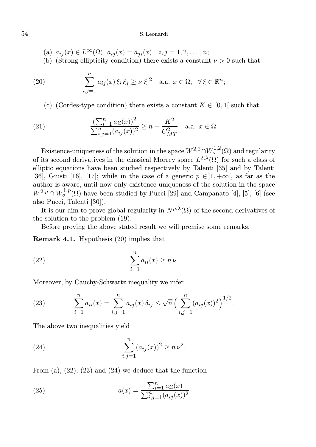- (a)  $a_{ij}(x) \in L^{\infty}(\Omega)$ ,  $a_{ij}(x) = a_{ji}(x)$   $i, j = 1, 2, ..., n;$
- (b) (Strong ellipticity condition) there exists a constant  $\nu > 0$  such that

(20) 
$$
\sum_{i,j=1}^n a_{ij}(x)\xi_i\xi_j \ge \nu|\xi|^2 \quad \text{a.a. } x \in \Omega, \ \ \forall \xi \in \mathbb{R}^n;
$$

(c) (Cordes-type condition) there exists a constant  $K \in [0,1]$  such that

(21) 
$$
\frac{\left(\sum_{i=1}^{n} a_{ii}(x)\right)^2}{\sum_{i,j=1}^{n} (a_{ij}(x))^2} \ge n - \frac{K^2}{C_{MT}^2} \quad \text{a.a. } x \in \Omega.
$$

Existence-uniqueness of the solution in the space  $W^{2,2}\cap W^{1,2}_o(\Omega)$  and regularity of its second derivatives in the classical Morrey space  $L^{2,\lambda}(\Omega)$  for such a class of elliptic equations have been studied respectively by Talenti [35] and by Talenti [36], Giusti [16], [17]; while in the case of a generic  $p \in ]1, +\infty[$ , as far as the author is aware, until now only existence-uniqueness of the solution in the space  $W^{2,p} \cap W^{1,p}_o(\Omega)$  have been studied by Pucci [29] and Campanato [4], [5], [6] (see also Pucci, Talenti [30]).

It is our aim to prove global regularity in  $N^{p,\lambda}(\Omega)$  of the second derivatives of the solution to the problem (19).

Before proving the above stated result we will premise some remarks.

Remark 4.1. Hypothesis (20) implies that

(22) 
$$
\sum_{i=1}^{n} a_{ii}(x) \ge n \nu.
$$

Moreover, by Cauchy-Schwartz inequality we infer

(23) 
$$
\sum_{i=1}^{n} a_{ii}(x) = \sum_{i,j=1}^{n} a_{ij}(x) \, \delta_{ij} \leq \sqrt{n} \left( \sum_{i,j=1}^{n} (a_{ij}(x))^2 \right)^{1/2}.
$$

The above two inequalities yield

(24) 
$$
\sum_{i,j=1}^{n} (a_{ij}(x))^2 \ge n \nu^2.
$$

From (a),  $(22)$ ,  $(23)$  and  $(24)$  we deduce that the function

(25) 
$$
a(x) = \frac{\sum_{i=1}^{n} a_{ii}(x)}{\sum_{i,j=1}^{n} (a_{ij}(x))^2}
$$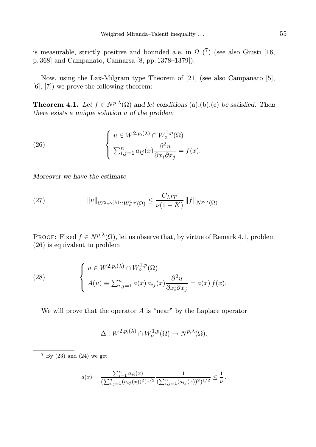is measurable, strictly positive and bounded a.e. in  $\Omega$  ( $\bar{7}$ ) (see also Giusti [16, p. 368] and Campanato, Cannarsa [8, pp. 1378–1379]).

Now, using the Lax-Milgram type Theorem of [21] (see also Campanato [5], [6], [7]) we prove the following theorem:

**Theorem 4.1.** Let  $f \in N^{p,\lambda}(\Omega)$  and let conditions (a),(b),(c) be satisfied. Then there exists a unique solution u of the problem

(26) 
$$
\begin{cases} u \in W^{2,p,(\lambda)} \cap W^{1,p}_o(\Omega) \\ \sum_{i,j=1}^n a_{ij}(x) \frac{\partial^2 u}{\partial x_i \partial x_j} = f(x). \end{cases}
$$

Moreover we have the estimate

(27) 
$$
||u||_{W^{2,p,(\lambda)} \cap W^{1,p}_o(\Omega)} \leq \frac{C_{MT}}{\nu(1-K)} ||f||_{N^{p,\lambda}(\Omega)}.
$$

PROOF: Fixed  $f \in N^{p,\lambda}(\Omega)$ , let us observe that, by virtue of Remark 4.1, problem (26) is equivalent to problem

(28) 
$$
\begin{cases} u \in W^{2,p,(\lambda)} \cap W^{1,p}_o(\Omega) \\ A(u) \equiv \sum_{i,j=1}^n a(x) a_{ij}(x) \frac{\partial^2 u}{\partial x_i \partial x_j} = a(x) f(x). \end{cases}
$$

We will prove that the operator  $A$  is "near" by the Laplace operator

$$
\Delta: W^{2,p,(\lambda)} \cap W^{1,p}_o(\Omega) \to N^{p,\lambda}(\Omega).
$$

 $7$  By (23) and (24) we get

$$
a(x) = \frac{\sum_{i=1}^{n} a_{ii}(x)}{(\sum_{i,j=1}^{n} (a_{ij}(x))^2)^{1/2}} \frac{1}{(\sum_{i,j=1}^{n} (a_{ij}(x))^2)^{1/2}} \leq \frac{1}{\nu}.
$$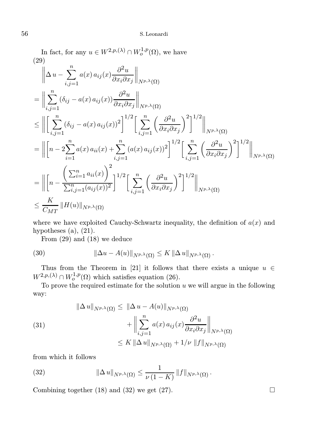In fact, for any  $u \in W^{2,p,(\lambda)} \cap W^{1,p}_o(\Omega)$ , we have (29)

$$
\|\Delta u - \sum_{i,j=1}^{n} a(x) a_{ij}(x) \frac{\partial^2 u}{\partial x_i \partial x_j} \|_{N^{p,\lambda}(\Omega)}
$$
\n
$$
= \|\sum_{i,j=1}^{n} (\delta_{ij} - a(x) a_{ij}(x)) \frac{\partial^2 u}{\partial x_i \partial x_j} \|_{N^{p,\lambda}(\Omega)}
$$
\n
$$
\leq \|\left[\sum_{i,j=1}^{n} (\delta_{ij} - a(x) a_{ij}(x))^2\right]^{1/2} \left[\sum_{i,j=1}^{n} \left(\frac{\partial^2 u}{\partial x_i \partial x_j}\right)^2\right]^{1/2} \|_{N^{p,\lambda}(\Omega)}
$$
\n
$$
= \|\left[n - 2\sum_{i=1}^{n} a(x) a_{ii}(x) + \sum_{i,j=1}^{n} (a(x) a_{ij}(x))^2\right]^{1/2} \left[\sum_{i,j=1}^{n} \left(\frac{\partial^2 u}{\partial x_i \partial x_j}\right)^2\right]^{1/2} \|_{N^{p,\lambda}(\Omega)}
$$
\n
$$
= \|\left[n - \frac{\left(\sum_{i=1}^{n} a_{ii}(x)\right)^2}{\sum_{i,j=1}^{n} (a_{ij}(x))^2}\right]^{1/2} \left[\sum_{i,j=1}^{n} \left(\frac{\partial^2 u}{\partial x_i \partial x_j}\right)^2\right]^{1/2} \|_{N^{p,\lambda}(\Omega)}
$$
\n
$$
\leq \frac{K}{C_{MT}} \|H(u)\|_{N^{p,\lambda}(\Omega)}
$$

where we have exploited Cauchy-Schwartz inequality, the definition of  $a(x)$  and hypotheses  $(a)$ ,  $(21)$ .

From (29) and (18) we deduce

(30) 
$$
\|\Delta u - A(u)\|_{N^{p,\lambda}(\Omega)} \leq K \|\Delta u\|_{N^{p,\lambda}(\Omega)}.
$$

Thus from the Theorem in [21] it follows that there exists a unique  $u \in$  $W^{2,p,(\lambda)} \cap W^{1,p}_o(\Omega)$  which satisfies equation (26).

To prove the required estimate for the solution  $u$  we will argue in the following way:

(31)  

$$
\|\Delta u\|_{N^{p,\lambda}(\Omega)} \leq \|\Delta u - A(u)\|_{N^{p,\lambda}(\Omega)}
$$

$$
+ \left\|\sum_{i,j=1}^n a(x) a_{ij}(x) \frac{\partial^2 u}{\partial x_i \partial x_j}\right\|_{N^{p,\lambda}(\Omega)}
$$

$$
\leq K \|\Delta u\|_{N^{p,\lambda}(\Omega)} + 1/\nu \|f\|_{N^{p,\lambda}(\Omega)}
$$

from which it follows

(32) 
$$
\|\Delta u\|_{N^{p,\lambda}(\Omega)} \leq \frac{1}{\nu(1-K)} \|f\|_{N^{p,\lambda}(\Omega)}.
$$

Combining together (18) and (32) we get (27).  $\Box$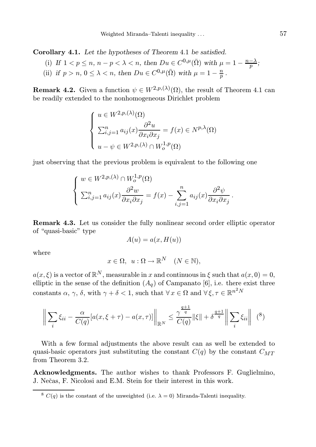Corollary 4.1. Let the hypotheses of Theorem 4.1 be satisfied.

- (i) If  $1 < p \le n$ ,  $n p < \lambda < n$ , then  $Du \in C^{0,\mu}(\overline{\Omega})$  with  $\mu = 1 \frac{n \lambda}{p}$ ;
- (ii) if  $p > n$ ,  $0 \leq \lambda < n$ , then  $Du \in C^{0,\mu}(\overline{\Omega})$  with  $\mu = 1 \frac{n}{p}$ .

**Remark 4.2.** Given a function  $\psi \in W^{2,p,(\lambda)}(\Omega)$ , the result of Theorem 4.1 can be readily extended to the nonhomogeneous Dirichlet problem

$$
\begin{cases}\n u \in W^{2,p,(\lambda)}(\Omega) \\
 \sum_{i,j=1}^{n} a_{ij}(x) \frac{\partial^2 u}{\partial x_i \partial x_j} = f(x) \in N^{p,\lambda}(\Omega) \\
 u - \psi \in W^{2,p,(\lambda)} \cap W^{1,p}_o(\Omega)\n\end{cases}
$$

just observing that the previous problem is equivalent to the following one

$$
\begin{cases} w \in W^{2,p,(\lambda)} \cap W^{1,p}_o(\Omega) \\ \sum_{i,j=1}^n a_{ij}(x) \frac{\partial^2 w}{\partial x_i \partial x_j} = f(x) - \sum_{i,j=1}^n a_{ij}(x) \frac{\partial^2 \psi}{\partial x_i \partial x_j}. \end{cases}
$$

Remark 4.3. Let us consider the fully nonlinear second order elliptic operator of "quasi-basic" type

$$
A(u) = a(x, H(u))
$$

where

$$
x \in \Omega, \ u : \Omega \to \mathbb{R}^N \quad (N \in \mathbb{N}),
$$

 $a(x,\xi)$  is a vector of  $\mathbb{R}^N$ , measurable in x and continuous in  $\xi$  such that  $a(x,0) = 0$ , elliptic in the sense of the definition  $(A_q)$  of Campanato [6], i.e. there exist three constants  $\alpha$ ,  $\gamma$ ,  $\delta$ , with  $\gamma + \delta < 1$ , such that  $\forall x \in \Omega$  and  $\forall \xi, \tau \in \mathbb{R}^{n^2 N}$ 

$$
\left\| \sum_{i} \xi_{ii} - \frac{\alpha}{C(q)} [a(x,\xi + \tau) - a(x,\tau)] \right\|_{\mathbb{R}^N} \leq \frac{\gamma^{\frac{q+1}{q}}}{C(q)} \|\xi\| + \delta^{\frac{q+1}{q}} \left\| \sum_{i} \xi_{ii} \right\| \tag{8}
$$

With a few formal adjustments the above result can as well be extended to quasi-basic operators just substituting the constant  $C(q)$  by the constant  $C_{MT}$ from Theorem 3.2.

Acknowledgments. The author wishes to thank Professors F. Guglielmino, J. Nečas, F. Nicolosi and E.M. Stein for their interest in this work.

<sup>&</sup>lt;sup>8</sup>  $C(q)$  is the constant of the unweighted (i.e.  $\lambda = 0$ ) Miranda-Talenti inequality.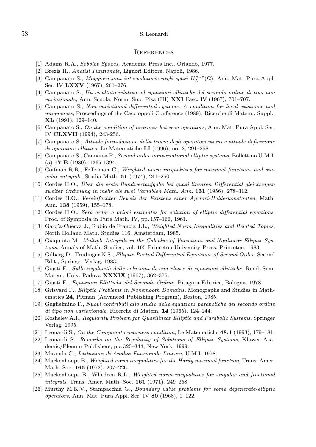#### **REFERENCES**

- [1] Adams R.A., Sobolev Spaces, Academic Press Inc., Orlando, 1977.
- [2] Brezis H., Analisi Funzionale, Liguori Editore, Napoli, 1986.
- [3] Campanato S., Maggiorazioni interpolatorie negli spazi  $H^{m,p}_\lambda(\Omega)$ , Ann. Mat. Pura Appl. Ser. IV LXXV (1967), 261-276.
- [4] Campanato S., Un risultato relativo ad equazioni ellittiche del secondo ordine di tipo non *variazionale*, Ann. Scuola. Norm. Sup. Pisa (III)  $\bold{XXI}$  Fasc. IV (1967), 701–707.
- [5] Campanato S., Non variational differential systems. A condition for local existence and uniqueness, Proceedings of the Caccioppoli Conference (1989), Ricerche di Matem., Suppl.,  $\mathbf{XL}$  (1991), 129–140.
- [6] Campanato S., On the condition of nearness between operators, Ann. Mat. Pura Appl. Ser. IV CLXVII (1994), 243-256.
- [7] Campanato S., Attuale formulazione della teoria degli operatori vicini e attuale definizione di operatore ellittico, Le Matematiche  $LI(1996)$ , no. 2, 291–298.
- [8] Campanato S., Cannarsa P., Second order nonvariational elliptic systems, Bollettino U.M.I. (5) 17-B (1980), 1365-1394.
- [9] Coifman R.R., Fefferman C., Weighted norm inequalities for maximal functions and sinqular integrals, Studia Math.  $51$  (1974), 241–250.
- [10] Cordes H.O., Über die erste Rundwertaufgabe bei quasi linearen Differential gleichungen zweiter Ordunung in mehr als zwei Variablen Math. Ann. 131 (1956), 278–312.
- [11] Cordes H.O., Vereinfachter Beweis der Existenz einer Apriori-Holderkonstanten, Math. Ann. 138 (1959), 155–178.
- [12] Cordes H.O., Zero order a priori estimates for solution of elliptic differential equations, Proc. of Symposia in Pure Math. IV, pp. 157–166, 1961.
- [13] García-Cuerva J., Rubio de Francia J.L., Weighted Norm Inequalities and Related Topics, North Holland Math. Studies 116, Amsterdam, 1985.
- [14] Giaquinta M., Multiple Integrals in the Calculus of Variations and Nonlinear Elliptic Systems, Annals of Math. Studies, vol. 105 Princeton University Press, Princeton, 1983.
- [15] Gilbarg D., Trudinger N.S., Elliptic Partial Differential Equations of Second Order, Second Edit., Springer Verlag, 1983.
- [16] Giusti E., Sulla regolarità delle soluzioni di una classe di equazioni ellittiche, Rend. Sem. Matem. Univ. Padova **XXXIX** (1967), 362-375.
- [17] Giusti E., Equazioni Ellittiche del Secondo Ordine, Pitagora Editrice, Bologna, 1978.
- [18] Grisvard P., Elliptic Problems in Nonsmooth Domains, Monographs and Studies in Mathematics 24, Pitman (Advanced Publishing Program), Boston, 1985.
- [19] Guglielmino F., Nuovi contributi allo studio delle equazioni paraboliche del secondo ordine di tipo non variazionale, Ricerche di Matem. 14 (1965), 124–144.
- [20] Koshelev A.I., Regularity Problem for Quasilinear Elliptic and Parabolic Systems, Springer Verlag, 1995.
- [21] Leonardi S., On the Campanato nearness condition, Le Matematiche **48.1** (1993), 179–181.
- [22] Leonardi S., Remarks on the Regularity of Solutions of Elliptic Systems, Kluwer Academic/Plenum Publishers, pp. 325–344, New York, 1999.
- [23] Miranda C., Istituzioni di Analisi Funzionale Lineare, U.M.I. 1978.
- [24] Muckenhoupt B., Weighted norm inequalities for the Hardy maximal function, Trans. Amer. Math. Soc. 165 (1972), 207–226.
- [25] Muckenhoupt B., Whedeen R.L., Weighted norm inequalities for singular and fractional integrals, Trans. Amer. Math. Soc. 161 (1971), 249-258.
- [26] Murthy M.K.V., Stampacchia G., Boundary value problems for some degenerate-elliptic operators, Ann. Mat. Pura Appl. Ser. IV 80 (1968), 1–122.